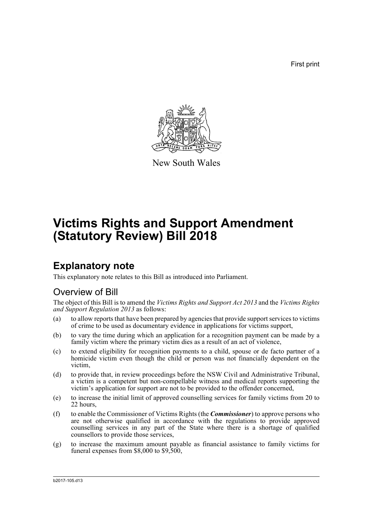First print



New South Wales

# **Victims Rights and Support Amendment (Statutory Review) Bill 2018**

# **Explanatory note**

This explanatory note relates to this Bill as introduced into Parliament.

## Overview of Bill

The object of this Bill is to amend the *Victims Rights and Support Act 2013* and the *Victims Rights and Support Regulation 2013* as follows:

- (a) to allow reports that have been prepared by agencies that provide support services to victims of crime to be used as documentary evidence in applications for victims support,
- (b) to vary the time during which an application for a recognition payment can be made by a family victim where the primary victim dies as a result of an act of violence,
- (c) to extend eligibility for recognition payments to a child, spouse or de facto partner of a homicide victim even though the child or person was not financially dependent on the victim,
- (d) to provide that, in review proceedings before the NSW Civil and Administrative Tribunal, a victim is a competent but non-compellable witness and medical reports supporting the victim's application for support are not to be provided to the offender concerned,
- (e) to increase the initial limit of approved counselling services for family victims from 20 to 22 hours,
- (f) to enable the Commissioner of Victims Rights (the *Commissioner*) to approve persons who are not otherwise qualified in accordance with the regulations to provide approved counselling services in any part of the State where there is a shortage of qualified counsellors to provide those services,
- (g) to increase the maximum amount payable as financial assistance to family victims for funeral expenses from \$8,000 to \$9,500,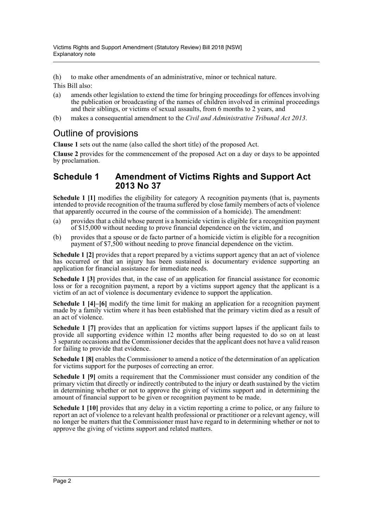(h) to make other amendments of an administrative, minor or technical nature. This Bill also:

- (a) amends other legislation to extend the time for bringing proceedings for offences involving the publication or broadcasting of the names of children involved in criminal proceedings and their siblings, or victims of sexual assaults, from 6 months to 2 years, and
- (b) makes a consequential amendment to the *Civil and Administrative Tribunal Act 2013*.

## Outline of provisions

**Clause 1** sets out the name (also called the short title) of the proposed Act.

**Clause 2** provides for the commencement of the proposed Act on a day or days to be appointed by proclamation.

## **Schedule 1 Amendment of Victims Rights and Support Act 2013 No 37**

**Schedule 1 [1]** modifies the eligibility for category A recognition payments (that is, payments intended to provide recognition of the trauma suffered by close family members of acts of violence that apparently occurred in the course of the commission of a homicide). The amendment:

- (a) provides that a child whose parent is a homicide victim is eligible for a recognition payment of \$15,000 without needing to prove financial dependence on the victim, and
- (b) provides that a spouse or de facto partner of a homicide victim is eligible for a recognition payment of \$7,500 without needing to prove financial dependence on the victim.

**Schedule 1 [2]** provides that a report prepared by a victims support agency that an act of violence has occurred or that an injury has been sustained is documentary evidence supporting an application for financial assistance for immediate needs.

**Schedule 1 [3]** provides that, in the case of an application for financial assistance for economic loss or for a recognition payment, a report by a victims support agency that the applicant is a victim of an act of violence is documentary evidence to support the application.

**Schedule 1 [4]–[6]** modify the time limit for making an application for a recognition payment made by a family victim where it has been established that the primary victim died as a result of an act of violence.

**Schedule 1 [7]** provides that an application for victims support lapses if the applicant fails to provide all supporting evidence within 12 months after being requested to do so on at least 3 separate occasions and the Commissioner decides that the applicant does not have a valid reason for failing to provide that evidence.

**Schedule 1 [8]** enables the Commissioner to amend a notice of the determination of an application for victims support for the purposes of correcting an error.

**Schedule 1 [9]** omits a requirement that the Commissioner must consider any condition of the primary victim that directly or indirectly contributed to the injury or death sustained by the victim in determining whether or not to approve the giving of victims support and in determining the amount of financial support to be given or recognition payment to be made.

**Schedule 1 [10]** provides that any delay in a victim reporting a crime to police, or any failure to report an act of violence to a relevant health professional or practitioner or a relevant agency, will no longer be matters that the Commissioner must have regard to in determining whether or not to approve the giving of victims support and related matters.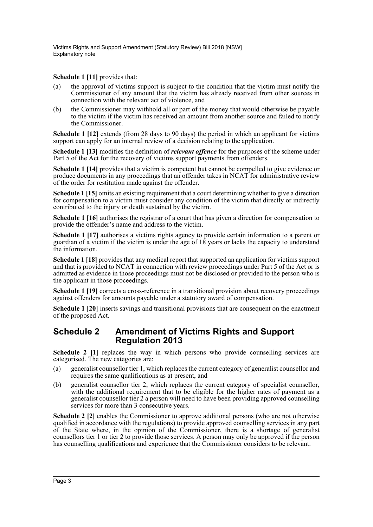**Schedule 1 [11]** provides that:

- (a) the approval of victims support is subject to the condition that the victim must notify the Commissioner of any amount that the victim has already received from other sources in connection with the relevant act of violence, and
- (b) the Commissioner may withhold all or part of the money that would otherwise be payable to the victim if the victim has received an amount from another source and failed to notify the Commissioner.

**Schedule 1 [12]** extends (from 28 days to 90 days) the period in which an applicant for victims support can apply for an internal review of a decision relating to the application.

**Schedule 1 [13]** modifies the definition of *relevant offence* for the purposes of the scheme under Part 5 of the Act for the recovery of victims support payments from offenders.

**Schedule 1 [14]** provides that a victim is competent but cannot be compelled to give evidence or produce documents in any proceedings that an offender takes in NCAT for administrative review of the order for restitution made against the offender.

**Schedule 1 [15]** omits an existing requirement that a court determining whether to give a direction for compensation to a victim must consider any condition of the victim that directly or indirectly contributed to the injury or death sustained by the victim.

**Schedule 1 [16]** authorises the registrar of a court that has given a direction for compensation to provide the offender's name and address to the victim.

**Schedule 1 [17]** authorises a victims rights agency to provide certain information to a parent or guardian of a victim if the victim is under the age of 18 years or lacks the capacity to understand the information.

**Schedule 1 [18]** provides that any medical report that supported an application for victims support and that is provided to NCAT in connection with review proceedings under Part 5 of the Act or is admitted as evidence in those proceedings must not be disclosed or provided to the person who is the applicant in those proceedings.

**Schedule 1 [19]** corrects a cross-reference in a transitional provision about recovery proceedings against offenders for amounts payable under a statutory award of compensation.

**Schedule 1 [20]** inserts savings and transitional provisions that are consequent on the enactment of the proposed Act.

## **Schedule 2 Amendment of Victims Rights and Support Regulation 2013**

**Schedule 2** [1] replaces the way in which persons who provide counselling services are categorised. The new categories are:

- (a) generalist counsellor tier 1, which replaces the current category of generalist counsellor and requires the same qualifications as at present, and
- (b) generalist counsellor tier 2, which replaces the current category of specialist counsellor, with the additional requirement that to be eligible for the higher rates of payment as a generalist counsellor tier 2 a person will need to have been providing approved counselling services for more than 3 consecutive years.

**Schedule 2 [2]** enables the Commissioner to approve additional persons (who are not otherwise qualified in accordance with the regulations) to provide approved counselling services in any part of the State where, in the opinion of the Commissioner, there is a shortage of generalist counsellors tier 1 or tier 2 to provide those services. A person may only be approved if the person has counselling qualifications and experience that the Commissioner considers to be relevant.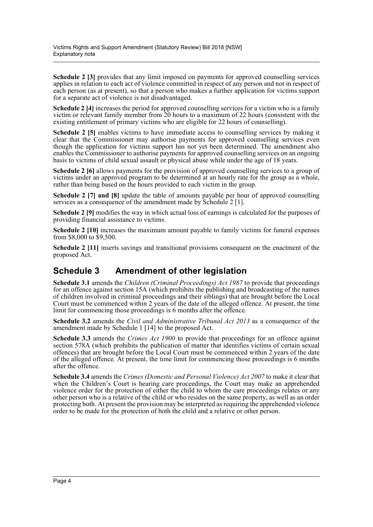**Schedule 2 [3]** provides that any limit imposed on payments for approved counselling services applies in relation to each act of violence committed in respect of any person and not in respect of each person (as at present), so that a person who makes a further application for victims support for a separate act of violence is not disadvantaged.

**Schedule 2 [4]** increases the period for approved counselling services for a victim who is a family victim or relevant family member from 20 hours to a maximum of 22 hours (consistent with the existing entitlement of primary victims who are eligible for 22 hours of counselling).

**Schedule 2 [5]** enables victims to have immediate access to counselling services by making it clear that the Commissioner may authorise payments for approved counselling services even though the application for victims support has not yet been determined. The amendment also enables the Commissioner to authorise payments for approved counselling services on an ongoing basis to victims of child sexual assault or physical abuse while under the age of 18 years.

**Schedule 2 [6]** allows payments for the provision of approved counselling services to a group of victims under an approved program to be determined at an hourly rate for the group as a whole, rather than being based on the hours provided to each victim in the group.

**Schedule 2 [7] and [8]** update the table of amounts payable per hour of approved counselling services as a consequence of the amendment made by Schedule 2 [1].

**Schedule 2 [9]** modifies the way in which actual loss of earnings is calculated for the purposes of providing financial assistance to victims.

**Schedule 2 [10]** increases the maximum amount payable to family victims for funeral expenses from \$8,000 to \$9,500.

**Schedule 2** [11] inserts savings and transitional provisions consequent on the enactment of the proposed Act.

## **Schedule 3 Amendment of other legislation**

**Schedule 3.1** amends the *Children (Criminal Proceedings) Act 1987* to provide that proceedings for an offence against section 15A (which prohibits the publishing and broadcasting of the names of children involved in criminal proceedings and their siblings) that are brought before the Local Court must be commenced within 2 years of the date of the alleged offence. At present, the time limit for commencing those proceedings is 6 months after the offence.

**Schedule 3.2** amends the *Civil and Administrative Tribunal Act 2013* as a consequence of the amendment made by Schedule 1 [14] to the proposed Act.

**Schedule 3.3** amends the *Crimes Act 1900* to provide that proceedings for an offence against section 578A (which prohibits the publication of matter that identifies victims of certain sexual offences) that are brought before the Local Court must be commenced within 2 years of the date of the alleged offence. At present, the time limit for commencing those proceedings is 6 months after the offence.

**Schedule 3.4** amends the *Crimes (Domestic and Personal Violence) Act 2007* to make it clear that when the Children's Court is hearing care proceedings, the Court may make an apprehended violence order for the protection of either the child to whom the care proceedings relates or any other person who is a relative of the child or who resides on the same property, as well as an order protecting both. At present the provision may be interpreted as requiring the apprehended violence order to be made for the protection of both the child and a relative or other person.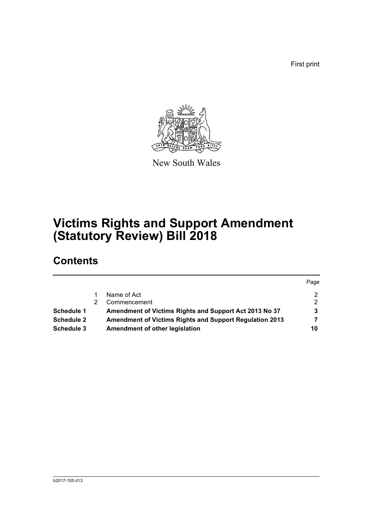First print



New South Wales

# **Victims Rights and Support Amendment (Statutory Review) Bill 2018**

# **Contents**

|                   |                                                                | Page |
|-------------------|----------------------------------------------------------------|------|
|                   | Name of Act                                                    | 2    |
|                   | Commencement                                                   | 2    |
| Schedule 1        | Amendment of Victims Rights and Support Act 2013 No 37         |      |
| <b>Schedule 2</b> | <b>Amendment of Victims Rights and Support Regulation 2013</b> |      |
| Schedule 3        | Amendment of other legislation                                 | 10   |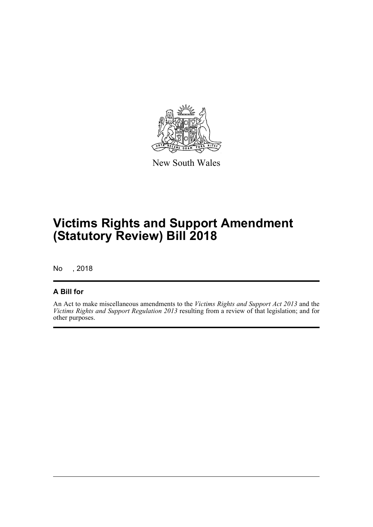

New South Wales

# **Victims Rights and Support Amendment (Statutory Review) Bill 2018**

No , 2018

### **A Bill for**

An Act to make miscellaneous amendments to the *Victims Rights and Support Act 2013* and the *Victims Rights and Support Regulation 2013* resulting from a review of that legislation; and for other purposes.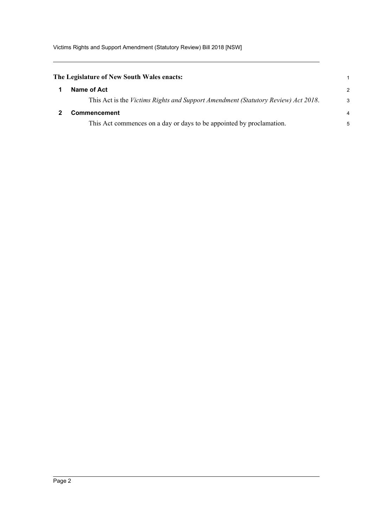<span id="page-6-1"></span><span id="page-6-0"></span>

| The Legislature of New South Wales enacts:                                        |               |
|-----------------------------------------------------------------------------------|---------------|
| Name of Act                                                                       | $\mathcal{P}$ |
| This Act is the Victims Rights and Support Amendment (Statutory Review) Act 2018. | 3             |
| <b>Commencement</b>                                                               | 4             |
| This Act commences on a day or days to be appointed by proclamation.              | 5             |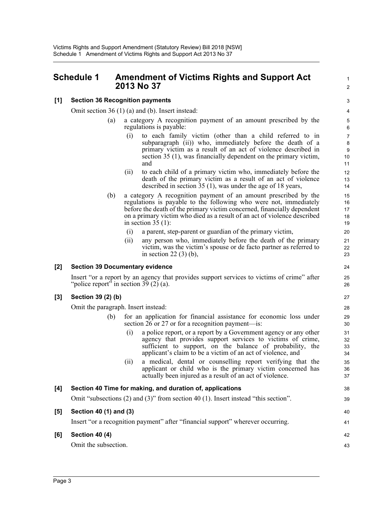## <span id="page-7-0"></span>**Schedule 1 Amendment of Victims Rights and Support Act 2013 No 37**

### **[1] Section 36 Recognition payments**

Omit section 36 (1) (a) and (b). Insert instead:

- (a) a category A recognition payment of an amount prescribed by the regulations is payable:
	- (i) to each family victim (other than a child referred to in subparagraph (ii)) who, immediately before the death of a primary victim as a result of an act of violence described in section 35 (1), was financially dependent on the primary victim, and

1  $\mathcal{L}$ 

38 39

40 41

42 43

- (ii) to each child of a primary victim who, immediately before the death of the primary victim as a result of an act of violence described in section 35 (1), was under the age of 18 years,
- (b) a category A recognition payment of an amount prescribed by the regulations is payable to the following who were not, immediately before the death of the primary victim concerned, financially dependent on a primary victim who died as a result of an act of violence described in section  $35(1)$ :
	- (i) a parent, step-parent or guardian of the primary victim,
	- (ii) any person who, immediately before the death of the primary victim, was the victim's spouse or de facto partner as referred to in section 22 (3) (b),

### **[2] Section 39 Documentary evidence**

Insert "or a report by an agency that provides support services to victims of crime" after "police report" in section 39 (2) (a).

### **[3] Section 39 (2) (b)**

Omit the paragraph. Insert instead:

- (b) for an application for financial assistance for economic loss under section 26 or 27 or for a recognition payment--is:
	- (i) a police report, or a report by a Government agency or any other agency that provides support services to victims of crime, sufficient to support, on the balance of probability, the applicant's claim to be a victim of an act of violence, and
	- (ii) a medical, dental or counselling report verifying that the applicant or child who is the primary victim concerned has actually been injured as a result of an act of violence.

| [4] Section 40 Time for making, and duration of, applications                              |
|--------------------------------------------------------------------------------------------|
| Omit "subsections $(2)$ and $(3)$ " from section 40 $(1)$ . Insert instead "this section". |
| [5] Section 40 (1) and (3)                                                                 |

Insert "or a recognition payment" after "financial support" wherever occurring.

#### **[6] Section 40 (4)**

Omit the subsection.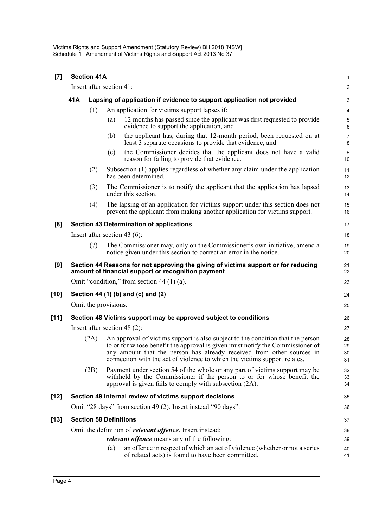| [7]    | <b>Section 41A</b>                                               |                               |                                                                        |                                                                                                                                                                                                                                                                                                                        |                        |  |  |
|--------|------------------------------------------------------------------|-------------------------------|------------------------------------------------------------------------|------------------------------------------------------------------------------------------------------------------------------------------------------------------------------------------------------------------------------------------------------------------------------------------------------------------------|------------------------|--|--|
|        |                                                                  | Insert after section 41:      |                                                                        |                                                                                                                                                                                                                                                                                                                        | 2                      |  |  |
|        | 41A                                                              |                               | Lapsing of application if evidence to support application not provided |                                                                                                                                                                                                                                                                                                                        |                        |  |  |
|        |                                                                  | (1)                           |                                                                        | An application for victims support lapses if:                                                                                                                                                                                                                                                                          | 4                      |  |  |
|        |                                                                  |                               | (a)                                                                    | 12 months has passed since the applicant was first requested to provide<br>evidence to support the application, and                                                                                                                                                                                                    | 5<br>6                 |  |  |
|        |                                                                  |                               | (b)                                                                    | the applicant has, during that 12-month period, been requested on at<br>least 3 separate occasions to provide that evidence, and                                                                                                                                                                                       | $\overline{7}$<br>8    |  |  |
|        |                                                                  |                               | (c)                                                                    | the Commissioner decides that the applicant does not have a valid<br>reason for failing to provide that evidence.                                                                                                                                                                                                      | $\boldsymbol{9}$<br>10 |  |  |
|        |                                                                  | (2)                           |                                                                        | Subsection (1) applies regardless of whether any claim under the application<br>has been determined.                                                                                                                                                                                                                   | 11<br>12               |  |  |
|        |                                                                  | (3)                           |                                                                        | The Commissioner is to notify the applicant that the application has lapsed<br>under this section.                                                                                                                                                                                                                     | 13<br>14               |  |  |
|        |                                                                  | (4)                           |                                                                        | The lapsing of an application for victims support under this section does not<br>prevent the applicant from making another application for victims support.                                                                                                                                                            | 15<br>16               |  |  |
| [8]    |                                                                  |                               |                                                                        | <b>Section 43 Determination of applications</b>                                                                                                                                                                                                                                                                        | 17                     |  |  |
|        |                                                                  |                               |                                                                        | Insert after section 43 $(6)$ :                                                                                                                                                                                                                                                                                        | 18                     |  |  |
|        |                                                                  | (7)                           |                                                                        | The Commissioner may, only on the Commissioner's own initiative, amend a<br>notice given under this section to correct an error in the notice.                                                                                                                                                                         | 19<br>20               |  |  |
| [9]    |                                                                  |                               |                                                                        | Section 44 Reasons for not approving the giving of victims support or for reducing<br>amount of financial support or recognition payment                                                                                                                                                                               | 21<br>22               |  |  |
|        |                                                                  |                               |                                                                        | Omit "condition," from section 44 $(1)$ (a).                                                                                                                                                                                                                                                                           | 23                     |  |  |
| $[10]$ |                                                                  |                               |                                                                        | Section 44 (1) (b) and (c) and (2)                                                                                                                                                                                                                                                                                     | 24                     |  |  |
|        |                                                                  | Omit the provisions.          |                                                                        |                                                                                                                                                                                                                                                                                                                        | 25                     |  |  |
| $[11]$ |                                                                  |                               |                                                                        | Section 48 Victims support may be approved subject to conditions                                                                                                                                                                                                                                                       | 26                     |  |  |
|        | Insert after section 48 $(2)$ :                                  |                               |                                                                        |                                                                                                                                                                                                                                                                                                                        |                        |  |  |
|        |                                                                  | (2A)                          |                                                                        | An approval of victims support is also subject to the condition that the person<br>to or for whose benefit the approval is given must notify the Commissioner of<br>any amount that the person has already received from other sources in<br>connection with the act of violence to which the victims support relates. | 28<br>29<br>30<br>31   |  |  |
|        |                                                                  | (2B)                          |                                                                        | Payment under section 54 of the whole or any part of victims support may be<br>withheld by the Commissioner if the person to or for whose benefit the<br>approval is given fails to comply with subsection (2A).                                                                                                       | 32<br>33<br>34         |  |  |
| $[12]$ |                                                                  |                               |                                                                        | Section 49 Internal review of victims support decisions                                                                                                                                                                                                                                                                | 35                     |  |  |
|        |                                                                  |                               |                                                                        | Omit "28 days" from section 49 (2). Insert instead "90 days".                                                                                                                                                                                                                                                          | 36                     |  |  |
| $[13]$ |                                                                  | <b>Section 58 Definitions</b> |                                                                        |                                                                                                                                                                                                                                                                                                                        | 37                     |  |  |
|        | Omit the definition of <i>relevant offence</i> . Insert instead: |                               |                                                                        |                                                                                                                                                                                                                                                                                                                        |                        |  |  |
|        |                                                                  |                               |                                                                        | <i>relevant offence</i> means any of the following:                                                                                                                                                                                                                                                                    | 39                     |  |  |
|        |                                                                  |                               | (a)                                                                    | an offence in respect of which an act of violence (whether or not a series<br>of related acts) is found to have been committed,                                                                                                                                                                                        | 40<br>41               |  |  |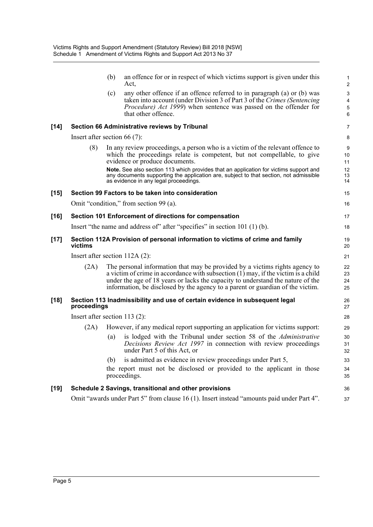|        |                                 | (b) | an offence for or in respect of which victims support is given under this<br>Act,                                                                                                                                                                                                                                                       | 1<br>$\overline{2}$          |  |  |
|--------|---------------------------------|-----|-----------------------------------------------------------------------------------------------------------------------------------------------------------------------------------------------------------------------------------------------------------------------------------------------------------------------------------------|------------------------------|--|--|
|        |                                 | (c) | any other offence if an offence referred to in paragraph (a) or (b) was<br>taken into account (under Division 3 of Part 3 of the Crimes (Sentencing)<br>Procedure) Act 1999) when sentence was passed on the offender for<br>that other offence.                                                                                        | 3<br>4<br>$\sqrt{5}$<br>6    |  |  |
| $[14]$ |                                 |     | Section 66 Administrative reviews by Tribunal                                                                                                                                                                                                                                                                                           | 7                            |  |  |
|        | Insert after section $66(7)$ :  |     |                                                                                                                                                                                                                                                                                                                                         | 8                            |  |  |
|        | (8)                             |     | In any review proceedings, a person who is a victim of the relevant offence to<br>which the proceedings relate is competent, but not compellable, to give<br>evidence or produce documents.                                                                                                                                             | $\boldsymbol{9}$<br>10<br>11 |  |  |
|        |                                 |     | Note. See also section 113 which provides that an application for victims support and<br>any documents supporting the application are, subject to that section, not admissible<br>as evidence in any legal proceedings.                                                                                                                 | 12<br>13<br>14               |  |  |
| $[15]$ |                                 |     | Section 99 Factors to be taken into consideration                                                                                                                                                                                                                                                                                       | 15                           |  |  |
|        |                                 |     | Omit "condition," from section 99 (a).                                                                                                                                                                                                                                                                                                  | 16                           |  |  |
| $[16]$ |                                 |     | Section 101 Enforcement of directions for compensation                                                                                                                                                                                                                                                                                  | 17                           |  |  |
|        |                                 |     | Insert "the name and address of" after "specifies" in section $101$ (1) (b).                                                                                                                                                                                                                                                            | 18                           |  |  |
| $[17]$ | victims                         |     | Section 112A Provision of personal information to victims of crime and family                                                                                                                                                                                                                                                           | 19<br>20                     |  |  |
|        |                                 |     | Insert after section $112A(2)$ :                                                                                                                                                                                                                                                                                                        | 21                           |  |  |
|        | (2A)                            |     | The personal information that may be provided by a victims rights agency to<br>a victim of crime in accordance with subsection $(1)$ may, if the victim is a child<br>under the age of 18 years or lacks the capacity to understand the nature of the<br>information, be disclosed by the agency to a parent or guardian of the victim. | 22<br>23<br>24<br>25         |  |  |
| $[18]$ | proceedings                     |     | Section 113 Inadmissibility and use of certain evidence in subsequent legal                                                                                                                                                                                                                                                             | 26<br>27                     |  |  |
|        | Insert after section $113(2)$ : |     |                                                                                                                                                                                                                                                                                                                                         |                              |  |  |
|        | (2A)                            |     | However, if any medical report supporting an application for victims support:                                                                                                                                                                                                                                                           | 29                           |  |  |
|        |                                 | (a) | is lodged with the Tribunal under section 58 of the Administrative<br>Decisions Review Act 1997 in connection with review proceedings<br>under Part 5 of this Act, or                                                                                                                                                                   | 30<br>31<br>32               |  |  |
|        |                                 | (b) | is admitted as evidence in review proceedings under Part 5,                                                                                                                                                                                                                                                                             | 33                           |  |  |
|        |                                 |     | the report must not be disclosed or provided to the applicant in those<br>proceedings.                                                                                                                                                                                                                                                  | 34<br>35                     |  |  |
| $[19]$ |                                 |     | Schedule 2 Savings, transitional and other provisions                                                                                                                                                                                                                                                                                   | 36                           |  |  |
|        |                                 |     | Omit "awards under Part 5" from clause 16 (1). Insert instead "amounts paid under Part 4".                                                                                                                                                                                                                                              | 37                           |  |  |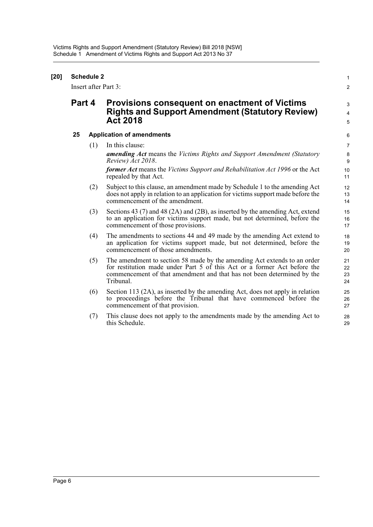| $[20]$ | <b>Schedule 2</b><br>Insert after Part 3: |     |                                                                                                                                                                                                                                             |                      |  |
|--------|-------------------------------------------|-----|---------------------------------------------------------------------------------------------------------------------------------------------------------------------------------------------------------------------------------------------|----------------------|--|
|        | Part 4                                    |     | <b>Provisions consequent on enactment of Victims</b><br><b>Rights and Support Amendment (Statutory Review)</b><br><b>Act 2018</b>                                                                                                           | 3<br>4<br>5          |  |
|        | 25                                        |     | <b>Application of amendments</b>                                                                                                                                                                                                            |                      |  |
|        |                                           | (1) | In this clause:<br>amending Act means the Victims Rights and Support Amendment (Statutory<br>Review) Act 2018.                                                                                                                              | 7<br>8<br>9          |  |
|        |                                           |     | <b>former Act</b> means the Victims Support and Rehabilitation Act 1996 or the Act<br>repealed by that Act.                                                                                                                                 | 10<br>11             |  |
|        |                                           | (2) | Subject to this clause, an amendment made by Schedule 1 to the amending Act<br>does not apply in relation to an application for victims support made before the<br>commencement of the amendment.                                           | 12<br>13<br>14       |  |
|        |                                           | (3) | Sections 43 $(7)$ and 48 $(2A)$ and $(2B)$ , as inserted by the amending Act, extend<br>to an application for victims support made, but not determined, before the<br>commencement of those provisions.                                     | 15<br>16<br>17       |  |
|        |                                           | (4) | The amendments to sections 44 and 49 made by the amending Act extend to<br>an application for victims support made, but not determined, before the<br>commencement of those amendments.                                                     | 18<br>19<br>20       |  |
|        |                                           | (5) | The amendment to section 58 made by the amending Act extends to an order<br>for restitution made under Part 5 of this Act or a former Act before the<br>commencement of that amendment and that has not been determined by the<br>Tribunal. | 21<br>22<br>23<br>24 |  |
|        |                                           | (6) | Section 113 (2A), as inserted by the amending Act, does not apply in relation<br>to proceedings before the Tribunal that have commenced before the<br>commencement of that provision.                                                       | 25<br>26<br>27       |  |
|        |                                           | (7) | This clause does not apply to the amendments made by the amending Act to<br>this Schedule.                                                                                                                                                  | 28<br>29             |  |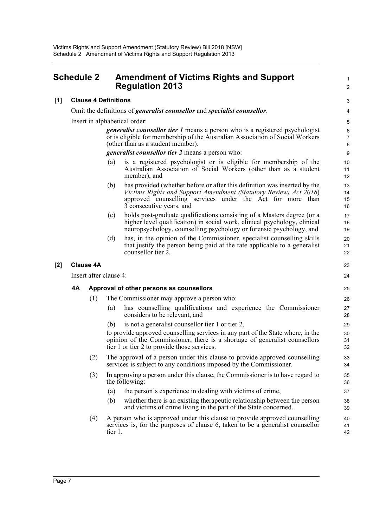## <span id="page-11-0"></span>**Schedule 2 Amendment of Victims Rights and Support Regulation 2013**

**[1] Clause 4 Definitions**

Omit the definitions of *generalist counsellor* and *specialist counsellor*.

Insert in alphabetical order:

*generalist counsellor tier 1* means a person who is a registered psychologist or is eligible for membership of the Australian Association of Social Workers (other than as a student member).

1  $\mathcal{L}$ 

*generalist counsellor tier 2* means a person who:

- (a) is a registered psychologist or is eligible for membership of the Australian Association of Social Workers (other than as a student member), and
- (b) has provided (whether before or after this definition was inserted by the *Victims Rights and Support Amendment (Statutory Review) Act 2018*) approved counselling services under the Act for more than 3 consecutive years, and
- (c) holds post-graduate qualifications consisting of a Masters degree (or a higher level qualification) in social work, clinical psychology, clinical neuropsychology, counselling psychology or forensic psychology, and
- (d) has, in the opinion of the Commissioner, specialist counselling skills that justify the person being paid at the rate applicable to a generalist counsellor tier 2.

### **[2] Clause 4A**

Insert after clause 4:

### **4A Approval of other persons as counsellors**

- (1) The Commissioner may approve a person who:
	- (a) has counselling qualifications and experience the Commissioner considers to be relevant, and
	- (b) is not a generalist counsellor tier 1 or tier 2,

to provide approved counselling services in any part of the State where, in the opinion of the Commissioner, there is a shortage of generalist counsellors tier 1 or tier 2 to provide those services.

- (2) The approval of a person under this clause to provide approved counselling services is subject to any conditions imposed by the Commissioner.
- (3) In approving a person under this clause, the Commissioner is to have regard to the following:
	- (a) the person's experience in dealing with victims of crime,
	- (b) whether there is an existing therapeutic relationship between the person and victims of crime living in the part of the State concerned.
- (4) A person who is approved under this clause to provide approved counselling services is, for the purposes of clause 6, taken to be a generalist counsellor tier 1.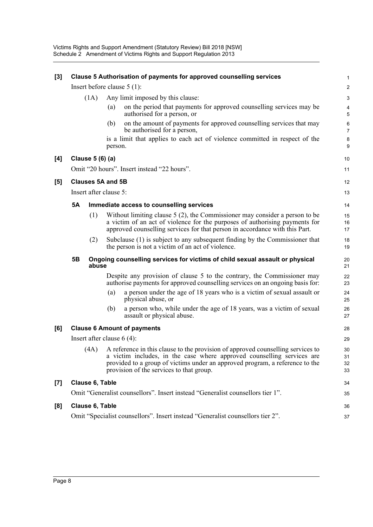| $[3]$              | <b>Clause 5 Authorisation of payments for approved counselling services</b>    |                              |         |                                                                                                                                                                                                                                                                                            |                           |  |
|--------------------|--------------------------------------------------------------------------------|------------------------------|---------|--------------------------------------------------------------------------------------------------------------------------------------------------------------------------------------------------------------------------------------------------------------------------------------------|---------------------------|--|
|                    | Insert before clause $5(1)$ :                                                  |                              |         |                                                                                                                                                                                                                                                                                            |                           |  |
|                    |                                                                                | (1A)                         |         | Any limit imposed by this clause:                                                                                                                                                                                                                                                          | 3                         |  |
|                    |                                                                                |                              | (a)     | on the period that payments for approved counselling services may be<br>authorised for a person, or                                                                                                                                                                                        | 4<br>5                    |  |
|                    |                                                                                |                              | (b)     | on the amount of payments for approved counselling services that may<br>be authorised for a person,                                                                                                                                                                                        | $\,6\,$<br>$\overline{7}$ |  |
|                    |                                                                                |                              | person. | is a limit that applies to each act of violence committed in respect of the                                                                                                                                                                                                                | 8<br>9                    |  |
| [4]                |                                                                                | Clause 5 (6) (a)             |         |                                                                                                                                                                                                                                                                                            | 10                        |  |
|                    |                                                                                |                              |         | Omit "20 hours". Insert instead "22 hours".                                                                                                                                                                                                                                                | 11                        |  |
| $[5]$              |                                                                                | <b>Clauses 5A and 5B</b>     |         |                                                                                                                                                                                                                                                                                            | 12                        |  |
|                    |                                                                                | Insert after clause 5:       |         |                                                                                                                                                                                                                                                                                            | 13                        |  |
|                    | <b>5A</b>                                                                      |                              |         | Immediate access to counselling services                                                                                                                                                                                                                                                   | 14                        |  |
|                    |                                                                                | (1)                          |         | Without limiting clause $5(2)$ , the Commissioner may consider a person to be<br>a victim of an act of violence for the purposes of authorising payments for<br>approved counselling services for that person in accordance with this Part.                                                | 15<br>16<br>17            |  |
|                    |                                                                                | (2)                          |         | Subclause (1) is subject to any subsequent finding by the Commissioner that<br>the person is not a victim of an act of violence.                                                                                                                                                           | 18<br>19                  |  |
|                    | 5B                                                                             | abuse                        |         | Ongoing counselling services for victims of child sexual assault or physical                                                                                                                                                                                                               | 20<br>21                  |  |
|                    |                                                                                |                              |         | Despite any provision of clause 5 to the contrary, the Commissioner may<br>authorise payments for approved counselling services on an ongoing basis for:                                                                                                                                   | 22<br>23                  |  |
|                    |                                                                                |                              | (a)     | a person under the age of 18 years who is a victim of sexual assault or<br>physical abuse, or                                                                                                                                                                                              | 24<br>25                  |  |
|                    |                                                                                |                              | (b)     | a person who, while under the age of 18 years, was a victim of sexual<br>assault or physical abuse.                                                                                                                                                                                        | 26<br>27                  |  |
| [6]                |                                                                                |                              |         | <b>Clause 6 Amount of payments</b>                                                                                                                                                                                                                                                         | 28                        |  |
|                    |                                                                                | Insert after clause $6(4)$ : |         |                                                                                                                                                                                                                                                                                            | 29                        |  |
|                    |                                                                                |                              |         | (4A) A reference in this clause to the provision of approved counselling services to<br>a victim includes, in the case where approved counselling services are<br>provided to a group of victims under an approved program, a reference to the<br>provision of the services to that group. | 30<br>31<br>32<br>33      |  |
| $\left[ 7 \right]$ | Clause 6, Table                                                                |                              |         |                                                                                                                                                                                                                                                                                            |                           |  |
|                    |                                                                                |                              |         | Omit "Generalist counsellors". Insert instead "Generalist counsellors tier 1".                                                                                                                                                                                                             | 35                        |  |
| [8]                | Clause 6, Table                                                                |                              |         |                                                                                                                                                                                                                                                                                            | 36                        |  |
|                    | Omit "Specialist counsellors". Insert instead "Generalist counsellors tier 2". |                              |         |                                                                                                                                                                                                                                                                                            |                           |  |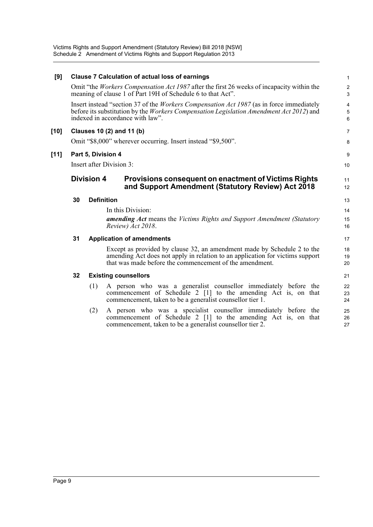| [9]    |    | <b>Clause 7 Calculation of actual loss of earnings</b>                                                                                                                                                                         | $\mathbf{1}$        |
|--------|----|--------------------------------------------------------------------------------------------------------------------------------------------------------------------------------------------------------------------------------|---------------------|
|        |    | Omit "the <i>Workers Compensation Act 1987</i> after the first 26 weeks of incapacity within the<br>meaning of clause 1 of Part 19H of Schedule 6 to that Act".                                                                | $\overline{2}$<br>3 |
|        |    | Insert instead "section 37 of the <i>Workers Compensation Act 1987</i> (as in force immediately<br>before its substitution by the Workers Compensation Legislation Amendment Act 2012) and<br>indexed in accordance with law". | 4<br>5<br>6         |
| [10]   |    | Clauses 10 (2) and 11 (b)                                                                                                                                                                                                      | $\overline{7}$      |
|        |    | Omit "\$8,000" wherever occurring. Insert instead "\$9,500".                                                                                                                                                                   | 8                   |
| $[11]$ |    | Part 5, Division 4                                                                                                                                                                                                             | 9                   |
|        |    | Insert after Division 3:                                                                                                                                                                                                       | 10                  |
|        |    | <b>Division 4</b><br>Provisions consequent on enactment of Victims Rights<br>and Support Amendment (Statutory Review) Act 2018                                                                                                 | 11<br>12            |
|        | 30 | <b>Definition</b>                                                                                                                                                                                                              | 13                  |
|        |    | In this Division:                                                                                                                                                                                                              | 14                  |
|        |    | <b>amending Act</b> means the Victims Rights and Support Amendment (Statutory<br>Review) Act 2018.                                                                                                                             | 15<br>16            |
|        | 31 | <b>Application of amendments</b>                                                                                                                                                                                               | 17                  |
|        |    | Except as provided by clause 32, an amendment made by Schedule 2 to the<br>amending Act does not apply in relation to an application for victims support<br>that was made before the commencement of the amendment.            | 18<br>19<br>20      |
|        | 32 | <b>Existing counsellors</b>                                                                                                                                                                                                    | 21                  |
|        |    | A person who was a generalist counsellor immediately before the<br>(1)<br>commencement of Schedule 2 [1] to the amending Act is, on that<br>commencement, taken to be a generalist counsellor tier 1.                          | 22<br>23<br>24      |
|        |    | A person who was a specialist counsellor immediately before the<br>(2)<br>commencement of Schedule 2 [1] to the amending Act is, on that<br>commencement, taken to be a generalist counsellor tier 2.                          | 25<br>26<br>27      |